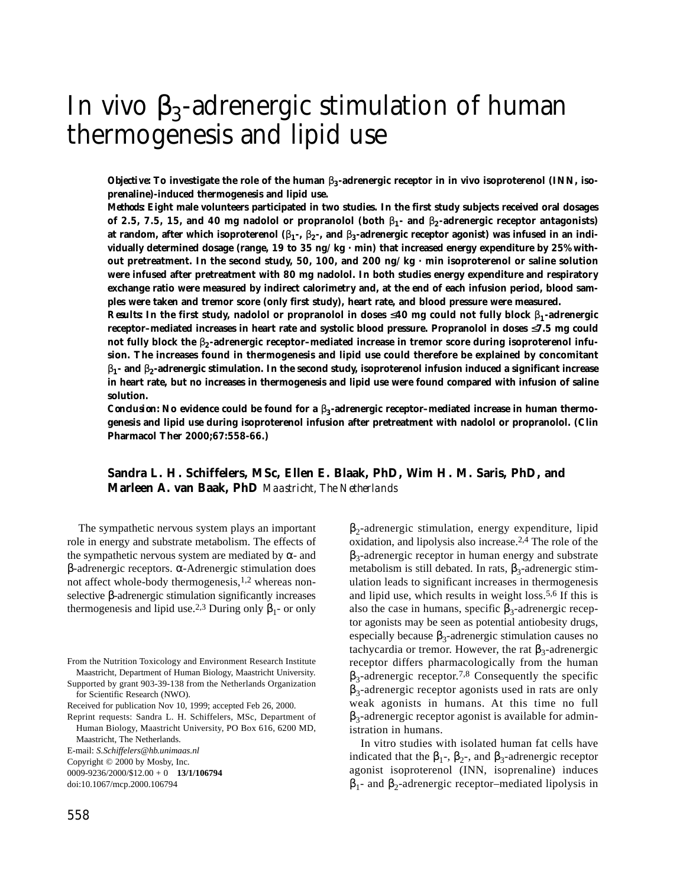# In vivo  $\beta_3$ -adrenergic stimulation of human thermogenesis and lipid use

*Objective:* To investigate the role of the human β<sub>3</sub>-adrenergic receptor in in vivo isoproterenol (INN, iso**prenaline)-induced thermogenesis and lipid use.**

*Methods:* **Eight male volunteers participated in two studies. In the first study subjects received oral dosages of 2.5, 7.5, 15, and 40 mg nadolol or propranolol (both** β**1- and** β**2-adrenergic receptor antagonists) at random, after which isoproterenol (**β**1-,** β**2-, and** β**3-adrenergic receptor agonist) was infused in an individually determined dosage (range, 19 to 35 ng/kg · min) that increased energy expenditure by 25% without pretreatment. In the second study, 50, 100, and 200 ng/kg · min isoproterenol or saline solution were infused after pretreatment with 80 mg nadolol. In both studies energy expenditure and respiratory exchange ratio were measured by indirect calorimetry and, at the end of each infusion period, blood samples were taken and tremor score (only first study), heart rate, and blood pressure were measured.**

*Results:* **In the first study, nadolol or propranolol in doses** ≤**40 mg could not fully block** β**1-adrenergic receptor–mediated increases in heart rate and systolic blood pressure. Propranolol in doses** ≤**7.5 mg could not fully block the** β**2-adrenergic receptor–mediated increase in tremor score during isoproterenol infusion. The increases found in thermogenesis and lipid use could therefore be explained by concomitant** β**1- and** β**2-adrenergic stimulation. In the second study, isoproterenol infusion induced a significant increase in heart rate, but no increases in thermogenesis and lipid use were found compared with infusion of saline solution.**

*Conclusion:* **No evidence could be found for a** β**3-adrenergic receptor–mediated increase in human thermogenesis and lipid use during isoproterenol infusion after pretreatment with nadolol or propranolol. (Clin Pharmacol Ther 2000;67:558-66.)**

# **Sandra L. H. Schiffelers, MSc, Ellen E. Blaak, PhD, Wim H. M. Saris, PhD, and Marleen A. van Baak, PhD** *Maastricht, The Netherlands*

The sympathetic nervous system plays an important role in energy and substrate metabolism. The effects of the sympathetic nervous system are mediated by  $\alpha$ - and β-adrenergic receptors. α-Adrenergic stimulation does not affect whole-body thermogenesis,<sup>1,2</sup> whereas nonselective β-adrenergic stimulation significantly increases thermogenesis and lipid use.<sup>2,3</sup> During only  $\beta_1$ - or only

0009-9236/2000/\$12.00 + 0 **13/1/106794**

 $\beta_2$ -adrenergic stimulation, energy expenditure, lipid oxidation, and lipolysis also increase.2,4 The role of the  $\beta_3$ -adrenergic receptor in human energy and substrate metabolism is still debated. In rats,  $\beta_3$ -adrenergic stimulation leads to significant increases in thermogenesis and lipid use, which results in weight loss.5,6 If this is also the case in humans, specific  $\beta_3$ -adrenergic receptor agonists may be seen as potential antiobesity drugs, especially because  $\beta_3$ -adrenergic stimulation causes no tachycardia or tremor. However, the rat  $β_3$ -adrenergic receptor differs pharmacologically from the human  $\beta_3$ -adrenergic receptor.<sup>7,8</sup> Consequently the specific  $\beta_3$ -adrenergic receptor agonists used in rats are only weak agonists in humans. At this time no full  $\beta_3$ -adrenergic receptor agonist is available for administration in humans.

In vitro studies with isolated human fat cells have indicated that the  $β_1$ -,  $β_2$ -, and  $β_3$ -adrenergic receptor agonist isoproterenol (INN, isoprenaline) induces  $β<sub>1</sub>$ - and  $β<sub>2</sub>$ -adrenergic receptor–mediated lipolysis in

From the Nutrition Toxicology and Environment Research Institute Maastricht, Department of Human Biology, Maastricht University. Supported by grant 903-39-138 from the Netherlands Organization

for Scientific Research (NWO).

Received for publication Nov 10, 1999; accepted Feb 26, 2000.

Reprint requests: Sandra L. H. Schiffelers, MSc, Department of Human Biology, Maastricht University, PO Box 616, 6200 MD, Maastricht, The Netherlands.

E-mail: *S.Schiffelers@hb.unimaas.nl*

Copyright © 2000 by Mosby, Inc.

doi:10.1067/mcp.2000.106794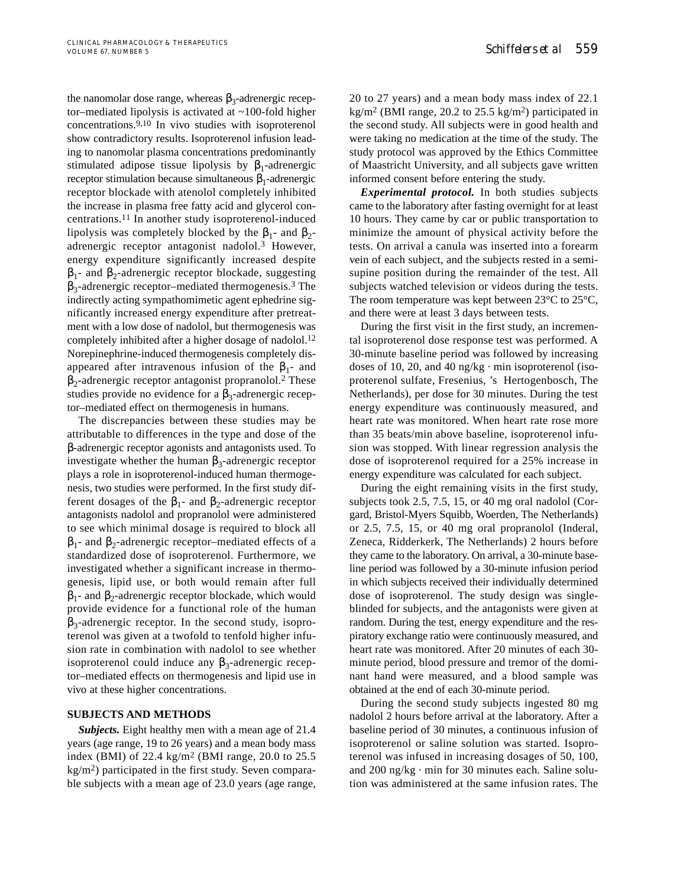the nanomolar dose range, whereas  $β_3$ -adrenergic receptor–mediated lipolysis is activated at ~100-fold higher concentrations.9,10 In vivo studies with isoproterenol show contradictory results. Isoproterenol infusion leading to nanomolar plasma concentrations predominantly stimulated adipose tissue lipolysis by  $\beta_1$ -adrenergic receptor stimulation because simultaneous  $β₁$ -adrenergic receptor blockade with atenolol completely inhibited the increase in plasma free fatty acid and glycerol concentrations.11 In another study isoproterenol-induced lipolysis was completely blocked by the  $\beta_1$ - and  $\beta_2$ adrenergic receptor antagonist nadolol.3 However, energy expenditure significantly increased despite  $β<sub>1</sub>$ - and  $β<sub>2</sub>$ -adrenergic receptor blockade, suggesting  $\beta_3$ -adrenergic receptor–mediated thermogenesis.<sup>3</sup> The indirectly acting sympathomimetic agent ephedrine significantly increased energy expenditure after pretreatment with a low dose of nadolol, but thermogenesis was completely inhibited after a higher dosage of nadolol.<sup>12</sup> Norepinephrine-induced thermogenesis completely disappeared after intravenous infusion of the  $β_1$ - and  $β$ <sub>2</sub>-adrenergic receptor antagonist propranolol.<sup>2</sup> These studies provide no evidence for a  $\beta_3$ -adrenergic receptor–mediated effect on thermogenesis in humans.

The discrepancies between these studies may be attributable to differences in the type and dose of the β-adrenergic receptor agonists and antagonists used. To investigate whether the human  $β_3$ -adrenergic receptor plays a role in isoproterenol-induced human thermogenesis, two studies were performed. In the first study different dosages of the  $\beta_1$ - and  $\beta_2$ -adrenergic receptor antagonists nadolol and propranolol were administered to see which minimal dosage is required to block all  $β<sub>1</sub>$ - and  $β<sub>2</sub>$ -adrenergic receptor–mediated effects of a standardized dose of isoproterenol. Furthermore, we investigated whether a significant increase in thermogenesis, lipid use, or both would remain after full  $β<sub>1</sub>$ - and  $β<sub>2</sub>$ -adrenergic receptor blockade, which would provide evidence for a functional role of the human  $\beta_3$ -adrenergic receptor. In the second study, isoproterenol was given at a twofold to tenfold higher infusion rate in combination with nadolol to see whether isoproterenol could induce any  $β_3$ -adrenergic receptor–mediated effects on thermogenesis and lipid use in vivo at these higher concentrations.

## **SUBJECTS AND METHODS**

*Subjects.* Eight healthy men with a mean age of 21.4 years (age range, 19 to 26 years) and a mean body mass index (BMI) of 22.4 kg/m2 (BMI range, 20.0 to 25.5 kg/m2) participated in the first study. Seven comparable subjects with a mean age of 23.0 years (age range,

20 to 27 years) and a mean body mass index of 22.1 kg/m<sup>2</sup> (BMI range, 20.2 to 25.5 kg/m<sup>2</sup>) participated in the second study. All subjects were in good health and were taking no medication at the time of the study. The study protocol was approved by the Ethics Committee of Maastricht University, and all subjects gave written informed consent before entering the study.

*Experimental protocol.* In both studies subjects came to the laboratory after fasting overnight for at least 10 hours. They came by car or public transportation to minimize the amount of physical activity before the tests. On arrival a canula was inserted into a forearm vein of each subject, and the subjects rested in a semisupine position during the remainder of the test. All subjects watched television or videos during the tests. The room temperature was kept between  $23^{\circ}$ C to  $25^{\circ}$ C, and there were at least 3 days between tests.

During the first visit in the first study, an incremental isoproterenol dose response test was performed. A 30-minute baseline period was followed by increasing doses of 10, 20, and 40 ng/kg  $\cdot$  min isoproterenol (isoproterenol sulfate, Fresenius, 's Hertogenbosch, The Netherlands), per dose for 30 minutes. During the test energy expenditure was continuously measured, and heart rate was monitored. When heart rate rose more than 35 beats/min above baseline, isoproterenol infusion was stopped. With linear regression analysis the dose of isoproterenol required for a 25% increase in energy expenditure was calculated for each subject.

During the eight remaining visits in the first study, subjects took 2.5, 7.5, 15, or 40 mg oral nadolol (Corgard, Bristol-Myers Squibb, Woerden, The Netherlands) or 2.5, 7.5, 15, or 40 mg oral propranolol (Inderal, Zeneca, Ridderkerk, The Netherlands) 2 hours before they came to the laboratory. On arrival, a 30-minute baseline period was followed by a 30-minute infusion period in which subjects received their individually determined dose of isoproterenol. The study design was singleblinded for subjects, and the antagonists were given at random. During the test, energy expenditure and the respiratory exchange ratio were continuously measured, and heart rate was monitored. After 20 minutes of each 30 minute period, blood pressure and tremor of the dominant hand were measured, and a blood sample was obtained at the end of each 30-minute period.

During the second study subjects ingested 80 mg nadolol 2 hours before arrival at the laboratory. After a baseline period of 30 minutes, a continuous infusion of isoproterenol or saline solution was started. Isoproterenol was infused in increasing dosages of 50, 100, and 200 ng/kg · min for 30 minutes each. Saline solution was administered at the same infusion rates. The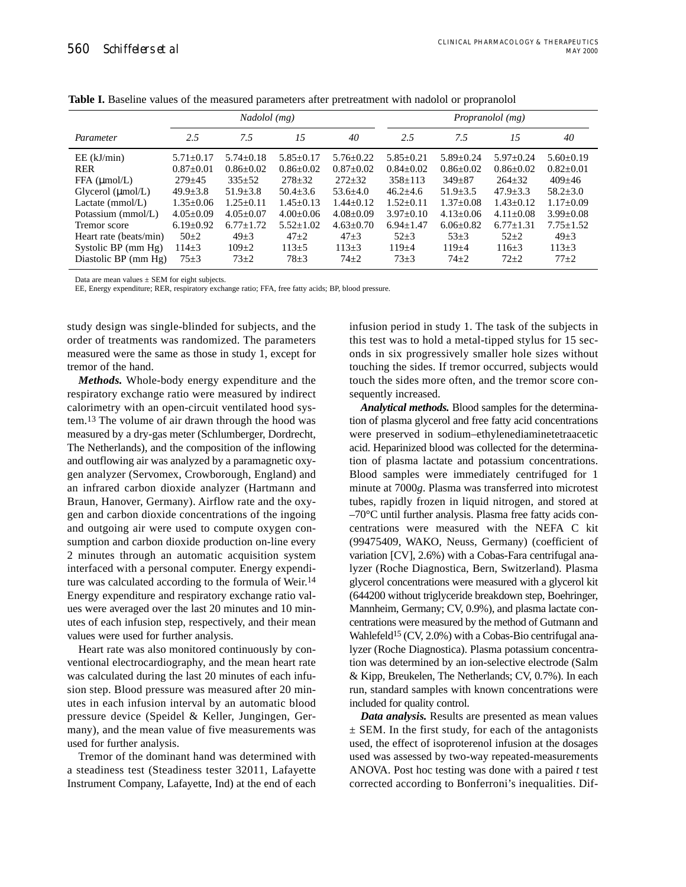|                        | Nadolol (mg)    |                |                 | Propranolol (mg) |                 |               |               |               |
|------------------------|-----------------|----------------|-----------------|------------------|-----------------|---------------|---------------|---------------|
| Parameter              | 2.5             | 7.5            | 15              | 40               | 2.5             | 7.5           | 15            | 40            |
| $EE$ (kJ/min)          | $5.71 + 0.17$   | $5.74 + 0.18$  | $5.85+0.17$     | $5.76 + 0.22$    | $5.85 \pm 0.21$ | $5.89 + 0.24$ | $5.97+0.24$   | $5.60+0.19$   |
| <b>RER</b>             | $0.87+0.01$     | $0.86 + 0.02$  | $0.86 + 0.02$   | $0.87 \pm 0.02$  | $0.84 + 0.02$   | $0.86 + 0.02$ | $0.86 + 0.02$ | $0.82 + 0.01$ |
| FFA (umol/L)           | $279 + 45$      | $335+52$       | $278 \pm 32$    | $272 + 32$       | $358+113$       | $349 + 87$    | $264 + 32$    | $409 + 46$    |
| Glycerol $(\mu$ mol/L) | $49.9 + 3.8$    | $51.9 \pm 3.8$ | $50.4 + 3.6$    | $53.6 + 4.0$     | $46.2 + 4.6$    | $51.9 + 3.5$  | $47.9 + 3.3$  | $58.2 + 3.0$  |
| Lactate $(mmol/L)$     | $1.35+0.06$     | $1.25+0.11$    | $1.45+0.13$     | $1.44 + 0.12$    | $1.52+0.11$     | $1.37+0.08$   | $1.43+0.12$   | $1.17+0.09$   |
| Potassium (mmol/L)     | $4.05 \pm 0.09$ | $4.05 + 0.07$  | $4.00+0.06$     | $4.08 \pm 0.09$  | $3.97+0.10$     | $4.13 + 0.06$ | $4.11 + 0.08$ | $3.99 + 0.08$ |
| Tremor score           | $6.19+0.92$     | $6.77 + 1.72$  | $5.52 \pm 1.02$ | $4.63+0.70$      | $6.94 + 1.47$   | $6.06 + 0.82$ | $6.77 + 1.31$ | $7.75 + 1.52$ |
| Heart rate (beats/min) | $50+2$          | $49 + 3$       | $47 + 2$        | $47 + 3$         | $52 + 3$        | $53 + 3$      | $52 + 2$      | $49 + 3$      |
| Systolic BP (mm Hg)    | $114 + 3$       | $109+2$        | $113+5$         | $113 + 3$        | $119 + 4$       | $119 + 4$     | $116 + 3$     | $113+3$       |
| Diastolic BP (mm Hg)   | $75+3$          | $73+2$         | $78 + 3$        | $74 + 2$         | $73 + 3$        | $74 + 2$      | $72 + 2$      | $77+2$        |

**Table I.** Baseline values of the measured parameters after pretreatment with nadolol or propranolol

Data are mean values  $\pm$  SEM for eight subjects.

EE, Energy expenditure; RER, respiratory exchange ratio; FFA, free fatty acids; BP, blood pressure.

study design was single-blinded for subjects, and the order of treatments was randomized. The parameters measured were the same as those in study 1, except for tremor of the hand.

*Methods.* Whole-body energy expenditure and the respiratory exchange ratio were measured by indirect calorimetry with an open-circuit ventilated hood system.13 The volume of air drawn through the hood was measured by a dry-gas meter (Schlumberger, Dordrecht, The Netherlands), and the composition of the inflowing and outflowing air was analyzed by a paramagnetic oxygen analyzer (Servomex, Crowborough, England) and an infrared carbon dioxide analyzer (Hartmann and Braun, Hanover, Germany). Airflow rate and the oxygen and carbon dioxide concentrations of the ingoing and outgoing air were used to compute oxygen consumption and carbon dioxide production on-line every 2 minutes through an automatic acquisition system interfaced with a personal computer. Energy expenditure was calculated according to the formula of Weir.14 Energy expenditure and respiratory exchange ratio values were averaged over the last 20 minutes and 10 minutes of each infusion step, respectively, and their mean values were used for further analysis.

Heart rate was also monitored continuously by conventional electrocardiography, and the mean heart rate was calculated during the last 20 minutes of each infusion step. Blood pressure was measured after 20 minutes in each infusion interval by an automatic blood pressure device (Speidel & Keller, Jungingen, Germany), and the mean value of five measurements was used for further analysis.

Tremor of the dominant hand was determined with a steadiness test (Steadiness tester 32011, Lafayette Instrument Company, Lafayette, Ind) at the end of each

infusion period in study 1. The task of the subjects in this test was to hold a metal-tipped stylus for 15 seconds in six progressively smaller hole sizes without touching the sides. If tremor occurred, subjects would touch the sides more often, and the tremor score consequently increased.

*Analytical methods.* Blood samples for the determination of plasma glycerol and free fatty acid concentrations were preserved in sodium–ethylenediaminetetraacetic acid. Heparinized blood was collected for the determination of plasma lactate and potassium concentrations. Blood samples were immediately centrifuged for 1 minute at 7000*g*. Plasma was transferred into microtest tubes, rapidly frozen in liquid nitrogen, and stored at  $-70^{\circ}$ C until further analysis. Plasma free fatty acids concentrations were measured with the NEFA C kit (99475409, WAKO, Neuss, Germany) (coefficient of variation [CV], 2.6%) with a Cobas-Fara centrifugal analyzer (Roche Diagnostica, Bern, Switzerland). Plasma glycerol concentrations were measured with a glycerol kit (644200 without triglyceride breakdown step, Boehringer, Mannheim, Germany; CV, 0.9%), and plasma lactate concentrations were measured by the method of Gutmann and Wahlefeld<sup>15</sup> (CV, 2.0%) with a Cobas-Bio centrifugal analyzer (Roche Diagnostica). Plasma potassium concentration was determined by an ion-selective electrode (Salm & Kipp, Breukelen, The Netherlands; CV, 0.7%). In each run, standard samples with known concentrations were included for quality control.

*Data analysis.* Results are presented as mean values  $\pm$  SEM. In the first study, for each of the antagonists used, the effect of isoproterenol infusion at the dosages used was assessed by two-way repeated-measurements ANOVA. Post hoc testing was done with a paired *t* test corrected according to Bonferroni's inequalities. Dif-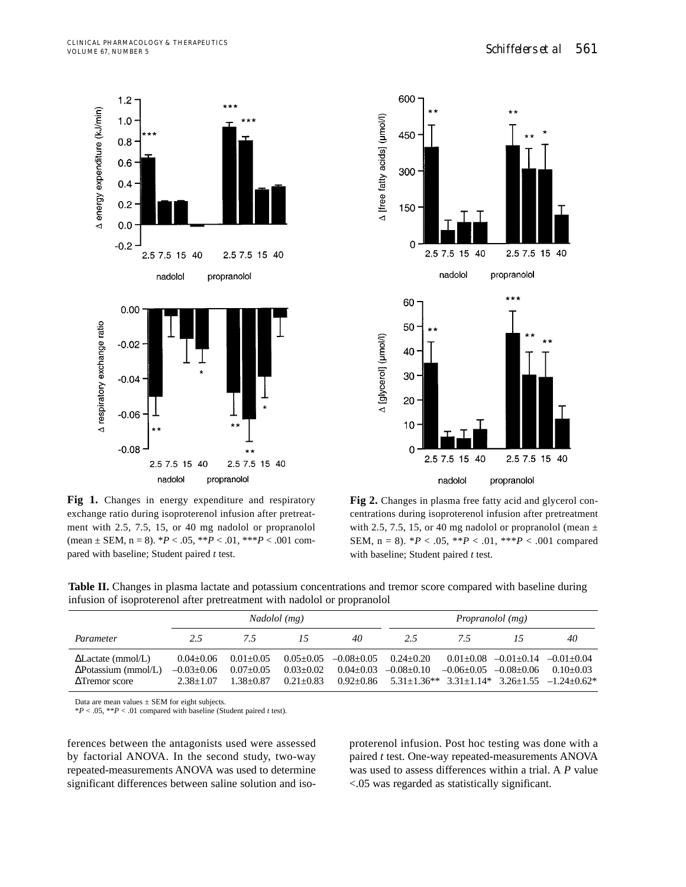





Fig 2. Changes in plasma free fatty acid and glycerol concentrations during isoproterenol infusion after pretreatment with 2.5, 7.5, 15, or 40 mg nadolol or propranolol (mean  $\pm$ SEM, n = 8). \**P* < .05, \*\**P* < .01, \*\*\**P* < .001 compared with baseline; Student paired *t* test.

**Table II.** Changes in plasma lactate and potassium concentrations and tremor score compared with baseline during infusion of isoproterenol after pretreatment with nadolol or propranolol

|                                                                           | Nadolol (mg)                                   |                                           |                                                 | <i>Propranolol</i> ( <i>mg</i> )                 |                                 |                |                                            |                                                                                       |
|---------------------------------------------------------------------------|------------------------------------------------|-------------------------------------------|-------------------------------------------------|--------------------------------------------------|---------------------------------|----------------|--------------------------------------------|---------------------------------------------------------------------------------------|
| Parameter                                                                 | 2.5                                            | 75                                        |                                                 | 40                                               | 2.5                             | 7.5            |                                            | 40                                                                                    |
| $\Delta$ Lactate (mmol/L)<br>$\Delta$ Potassium (mmol/L)<br>ATremor score | $0.04 + 0.06$<br>$-0.03+0.06$<br>$2.38 + 1.07$ | $0.01 + 0.05$<br>$0.07+0.05$<br>1.38+0.87 | $0.05 + 0.05$<br>$0.03 + 0.02$<br>$0.21 + 0.83$ | $-0.08 + 0.05$<br>$0.04 + 0.03$<br>$0.92 + 0.86$ | $0.24 + 0.20$<br>$-0.08 + 0.10$ | $-0.06 + 0.05$ | $0.01+0.08$ $-0.01+0.14$<br>$-0.08 + 0.06$ | $-0.01 + 0.04$<br>$0.10+0.03$<br>$5.31+1.36**$ $3.31+1.14*$ $3.26+1.55$ $-1.24+0.62*$ |

Data are mean values  $\pm$  SEM for eight subjects.

\**P* < .05, \*\**P* < .01 compared with baseline (Student paired *t* test).

ferences between the antagonists used were assessed by factorial ANOVA. In the second study, two-way repeated-measurements ANOVA was used to determine significant differences between saline solution and isoproterenol infusion. Post hoc testing was done with a paired *t* test. One-way repeated-measurements ANOVA was used to assess differences within a trial. A *P* value <.05 was regarded as statistically significant.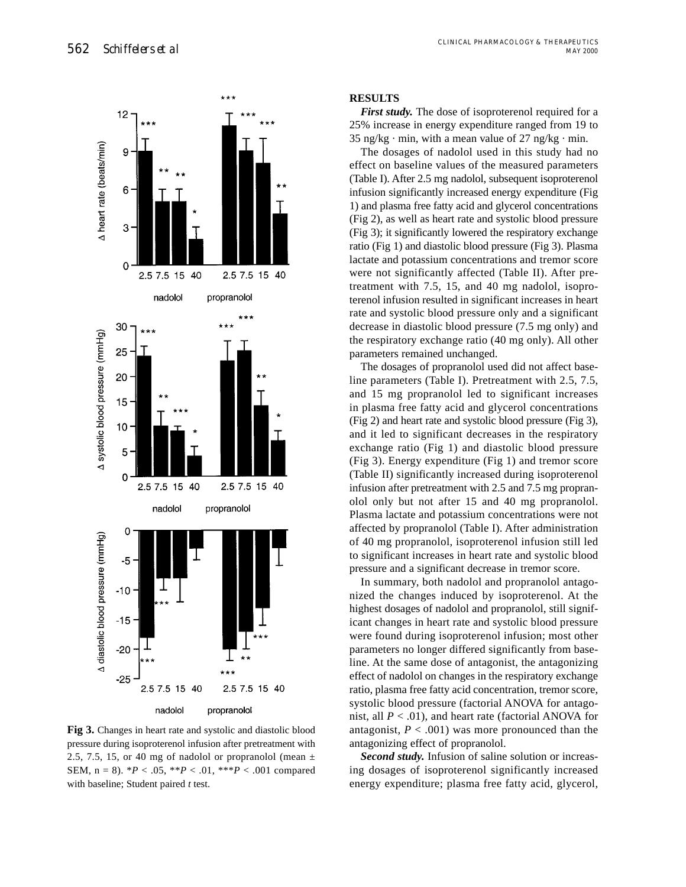

**Fig 3.** Changes in heart rate and systolic and diastolic blood pressure during isoproterenol infusion after pretreatment with 2.5, 7.5, 15, or 40 mg of nadolol or propranolol (mean  $\pm$ SEM,  $n = 8$ ).  ${}^*P < .05$ ,  ${}^{**P} < .01$ ,  ${}^{***P} < .001$  compared with baseline; Student paired *t* test.

# **RESULTS**

*First study.* The dose of isoproterenol required for a 25% increase in energy expenditure ranged from 19 to  $35 \text{ ng/kg} \cdot \text{min}$ , with a mean value of  $27 \text{ ng/kg} \cdot \text{min}$ .

The dosages of nadolol used in this study had no effect on baseline values of the measured parameters (Table I). After 2.5 mg nadolol, subsequent isoproterenol infusion significantly increased energy expenditure (Fig 1) and plasma free fatty acid and glycerol concentrations (Fig 2), as well as heart rate and systolic blood pressure (Fig 3); it significantly lowered the respiratory exchange ratio (Fig 1) and diastolic blood pressure (Fig 3). Plasma lactate and potassium concentrations and tremor score were not significantly affected (Table II). After pretreatment with 7.5, 15, and 40 mg nadolol, isoproterenol infusion resulted in significant increases in heart rate and systolic blood pressure only and a significant decrease in diastolic blood pressure (7.5 mg only) and the respiratory exchange ratio (40 mg only). All other parameters remained unchanged.

The dosages of propranolol used did not affect baseline parameters (Table I). Pretreatment with 2.5, 7.5, and 15 mg propranolol led to significant increases in plasma free fatty acid and glycerol concentrations (Fig 2) and heart rate and systolic blood pressure (Fig 3), and it led to significant decreases in the respiratory exchange ratio (Fig 1) and diastolic blood pressure (Fig 3). Energy expenditure (Fig 1) and tremor score (Table II) significantly increased during isoproterenol infusion after pretreatment with 2.5 and 7.5 mg propranolol only but not after 15 and 40 mg propranolol. Plasma lactate and potassium concentrations were not affected by propranolol (Table I). After administration of 40 mg propranolol, isoproterenol infusion still led to significant increases in heart rate and systolic blood pressure and a significant decrease in tremor score.

In summary, both nadolol and propranolol antagonized the changes induced by isoproterenol. At the highest dosages of nadolol and propranolol, still significant changes in heart rate and systolic blood pressure were found during isoproterenol infusion; most other parameters no longer differed significantly from baseline. At the same dose of antagonist, the antagonizing effect of nadolol on changes in the respiratory exchange ratio, plasma free fatty acid concentration, tremor score, systolic blood pressure (factorial ANOVA for antagonist, all  $P < .01$ ), and heart rate (factorial ANOVA for antagonist,  $P < .001$ ) was more pronounced than the antagonizing effect of propranolol.

*Second study.* Infusion of saline solution or increasing dosages of isoproterenol significantly increased energy expenditure; plasma free fatty acid, glycerol,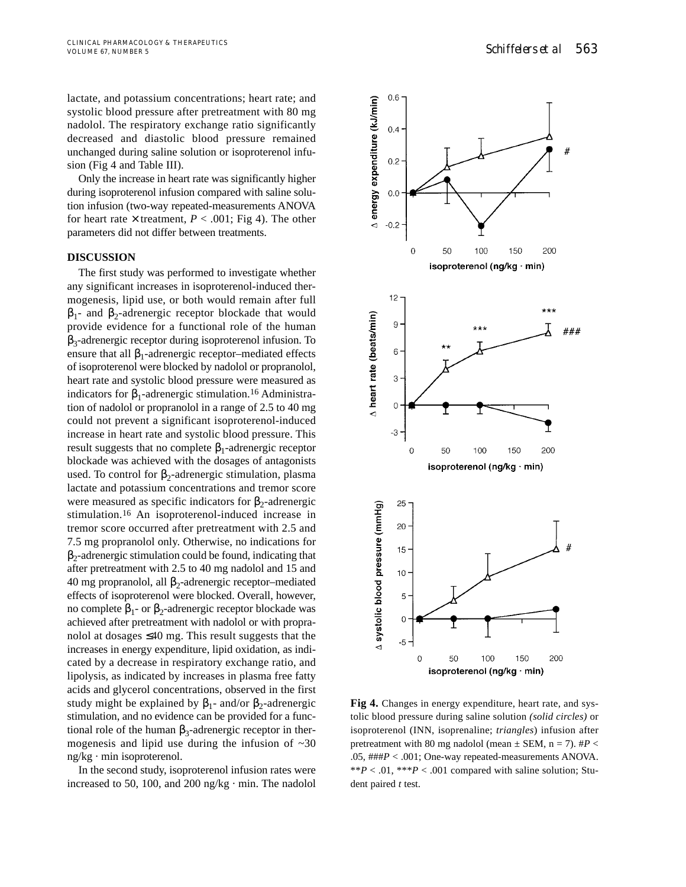lactate, and potassium concentrations; heart rate; and systolic blood pressure after pretreatment with 80 mg nadolol. The respiratory exchange ratio significantly decreased and diastolic blood pressure remained unchanged during saline solution or isoproterenol infusion (Fig 4 and Table III).

Only the increase in heart rate was significantly higher during isoproterenol infusion compared with saline solution infusion (two-way repeated-measurements ANOVA for heart rate  $\times$  treatment,  $P < .001$ ; Fig 4). The other parameters did not differ between treatments.

# **DISCUSSION**

The first study was performed to investigate whether any significant increases in isoproterenol-induced thermogenesis, lipid use, or both would remain after full  $β<sub>1</sub>$ - and  $β<sub>2</sub>$ -adrenergic receptor blockade that would provide evidence for a functional role of the human β3-adrenergic receptor during isoproterenol infusion. To ensure that all  $\beta_1$ -adrenergic receptor–mediated effects of isoproterenol were blocked by nadolol or propranolol, heart rate and systolic blood pressure were measured as indicators for  $\beta_1$ -adrenergic stimulation.<sup>16</sup> Administration of nadolol or propranolol in a range of 2.5 to 40 mg could not prevent a significant isoproterenol-induced increase in heart rate and systolic blood pressure. This result suggests that no complete  $β_1$ -adrenergic receptor blockade was achieved with the dosages of antagonists used. To control for  $\beta_2$ -adrenergic stimulation, plasma lactate and potassium concentrations and tremor score were measured as specific indicators for  $\beta_2$ -adrenergic stimulation.16 An isoproterenol-induced increase in tremor score occurred after pretreatment with 2.5 and 7.5 mg propranolol only. Otherwise, no indications for  $\beta_2$ -adrenergic stimulation could be found, indicating that after pretreatment with 2.5 to 40 mg nadolol and 15 and 40 mg propranolol, all  $β_2$ -adrenergic receptor–mediated effects of isoproterenol were blocked. Overall, however, no complete  $β_1$ - or  $β_2$ -adrenergic receptor blockade was achieved after pretreatment with nadolol or with propranolol at dosages ≤40 mg. This result suggests that the increases in energy expenditure, lipid oxidation, as indicated by a decrease in respiratory exchange ratio, and lipolysis, as indicated by increases in plasma free fatty acids and glycerol concentrations, observed in the first study might be explained by  $\beta_1$ - and/or  $\beta_2$ -adrenergic stimulation, and no evidence can be provided for a functional role of the human  $β_3$ -adrenergic receptor in thermogenesis and lipid use during the infusion of  $\sim 30$ ng/kg · min isoproterenol.

In the second study, isoproterenol infusion rates were increased to 50, 100, and 200 ng/kg  $\cdot$  min. The nadolol



**Fig 4.** Changes in energy expenditure, heart rate, and systolic blood pressure during saline solution *(solid circles)* or isoproterenol (INN, isoprenaline; *triangles*) infusion after pretreatment with 80 mg nadolol (mean  $\pm$  SEM, n = 7).  $\#P$  < .05, ###*P* < .001; One-way repeated-measurements ANOVA. \*\* $P < .01$ , \*\*\* $P < .001$  compared with saline solution; Student paired *t* test.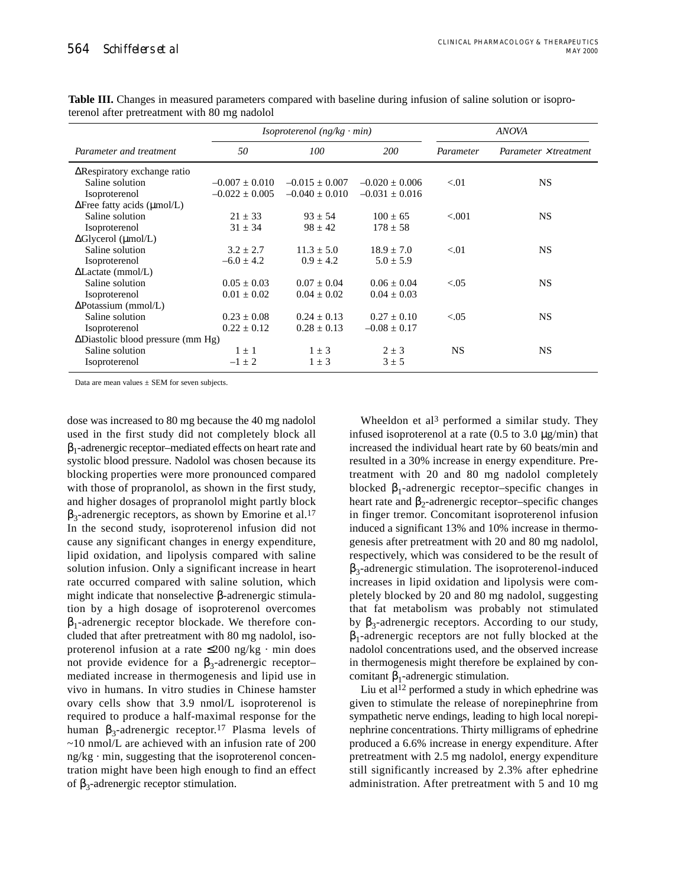|                                           |                    | <i>Isoproterenol</i> $(ng/kg \cdot min)$ | <b>ANOVA</b>       |           |                       |  |
|-------------------------------------------|--------------------|------------------------------------------|--------------------|-----------|-----------------------|--|
| Parameter and treatment                   | 50                 | 100                                      | <i>200</i>         | Parameter | Parameter × treatment |  |
| $\Delta$ Respiratory exchange ratio       |                    |                                          |                    |           |                       |  |
| Saline solution                           | $-0.007 + 0.010$   | $-0.015 + 0.007$                         | $-0.020 + 0.006$   | < 01      | NS                    |  |
| Isoproterenol                             | $-0.022 \pm 0.005$ | $-0.040 \pm 0.010$                       | $-0.031 \pm 0.016$ |           |                       |  |
| $\Delta$ Free fatty acids (µmol/L)        |                    |                                          |                    |           |                       |  |
| Saline solution                           | $21 + 33$          | $93 + 54$                                | $100 + 65$         | ${<}001$  | <b>NS</b>             |  |
| Isoproterenol                             | $31 \pm 34$        | $98 \pm 42$                              | $178 \pm 58$       |           |                       |  |
| $\Delta$ Glycerol (µmol/L)                |                    |                                          |                    |           |                       |  |
| Saline solution                           | $3.2 + 2.7$        | $11.3 + 5.0$                             | $18.9 + 7.0$       | < 01      | <b>NS</b>             |  |
| Isoproterenol                             | $-6.0 \pm 4.2$     | $0.9 + 4.2$                              | $5.0 \pm 5.9$      |           |                       |  |
| $\Delta$ Lactate (mmol/L)                 |                    |                                          |                    |           |                       |  |
| Saline solution                           | $0.05 + 0.03$      | $0.07 + 0.04$                            | $0.06 + 0.04$      | < 0.05    | <b>NS</b>             |  |
| Isoproterenol                             | $0.01 \pm 0.02$    | $0.04 \pm 0.02$                          | $0.04 \pm 0.03$    |           |                       |  |
| $\Delta$ Potassium (mmol/L)               |                    |                                          |                    |           |                       |  |
| Saline solution                           | $0.23 + 0.08$      | $0.24 + 0.13$                            | $0.27 + 0.10$      | < 0.05    | <b>NS</b>             |  |
| Isoproterenol                             | $0.22 \pm 0.12$    | $0.28 \pm 0.13$                          | $-0.08 \pm 0.17$   |           |                       |  |
| $\Delta$ Diastolic blood pressure (mm Hg) |                    |                                          |                    |           |                       |  |
| Saline solution                           | $1 + 1$            | $1 \pm 3$                                | $2 \pm 3$          | NS.       | <b>NS</b>             |  |
| <i>Isoproterenol</i>                      | $-1 \pm 2$         | $1 \pm 3$                                | $3 \pm 5$          |           |                       |  |

**Table III.** Changes in measured parameters compared with baseline during infusion of saline solution or isoproterenol after pretreatment with 80 mg nadolol

Data are mean values  $\pm$  SEM for seven subjects.

dose was increased to 80 mg because the 40 mg nadolol used in the first study did not completely block all  $\beta_1$ -adrenergic receptor–mediated effects on heart rate and systolic blood pressure. Nadolol was chosen because its blocking properties were more pronounced compared with those of propranolol, as shown in the first study, and higher dosages of propranolol might partly block  $\beta_3$ -adrenergic receptors, as shown by Emorine et al.<sup>17</sup> In the second study, isoproterenol infusion did not cause any significant changes in energy expenditure, lipid oxidation, and lipolysis compared with saline solution infusion. Only a significant increase in heart rate occurred compared with saline solution, which might indicate that nonselective β-adrenergic stimulation by a high dosage of isoproterenol overcomes  $\beta_1$ -adrenergic receptor blockade. We therefore concluded that after pretreatment with 80 mg nadolol, isoproterenol infusion at a rate  $\leq 200$  ng/kg · min does not provide evidence for a  $β_3$ -adrenergic receptor– mediated increase in thermogenesis and lipid use in vivo in humans. In vitro studies in Chinese hamster ovary cells show that 3.9 nmol/L isoproterenol is required to produce a half-maximal response for the human β<sub>3</sub>-adrenergic receptor.<sup>17</sup> Plasma levels of  $\sim$ 10 nmol/L are achieved with an infusion rate of 200  $ng/kg \cdot min$ , suggesting that the isoproterenol concentration might have been high enough to find an effect of  $β_3$ -adrenergic receptor stimulation.

Wheeldon et al<sup>3</sup> performed a similar study. They infused isoproterenol at a rate  $(0.5 \text{ to } 3.0 \text{ µg/min})$  that increased the individual heart rate by 60 beats/min and resulted in a 30% increase in energy expenditure. Pretreatment with 20 and 80 mg nadolol completely blocked  $\beta_1$ -adrenergic receptor–specific changes in heart rate and  $\beta_2$ -adrenergic receptor–specific changes in finger tremor. Concomitant isoproterenol infusion induced a significant 13% and 10% increase in thermogenesis after pretreatment with 20 and 80 mg nadolol, respectively, which was considered to be the result of  $\beta_3$ -adrenergic stimulation. The isoproterenol-induced increases in lipid oxidation and lipolysis were completely blocked by 20 and 80 mg nadolol, suggesting that fat metabolism was probably not stimulated by β<sub>3</sub>-adrenergic receptors. According to our study,  $\beta_1$ -adrenergic receptors are not fully blocked at the nadolol concentrations used, and the observed increase in thermogenesis might therefore be explained by concomitant  $β_1$ -adrenergic stimulation.

Liu et al<sup>12</sup> performed a study in which ephedrine was given to stimulate the release of norepinephrine from sympathetic nerve endings, leading to high local norepinephrine concentrations. Thirty milligrams of ephedrine produced a 6.6% increase in energy expenditure. After pretreatment with 2.5 mg nadolol, energy expenditure still significantly increased by 2.3% after ephedrine administration. After pretreatment with 5 and 10 mg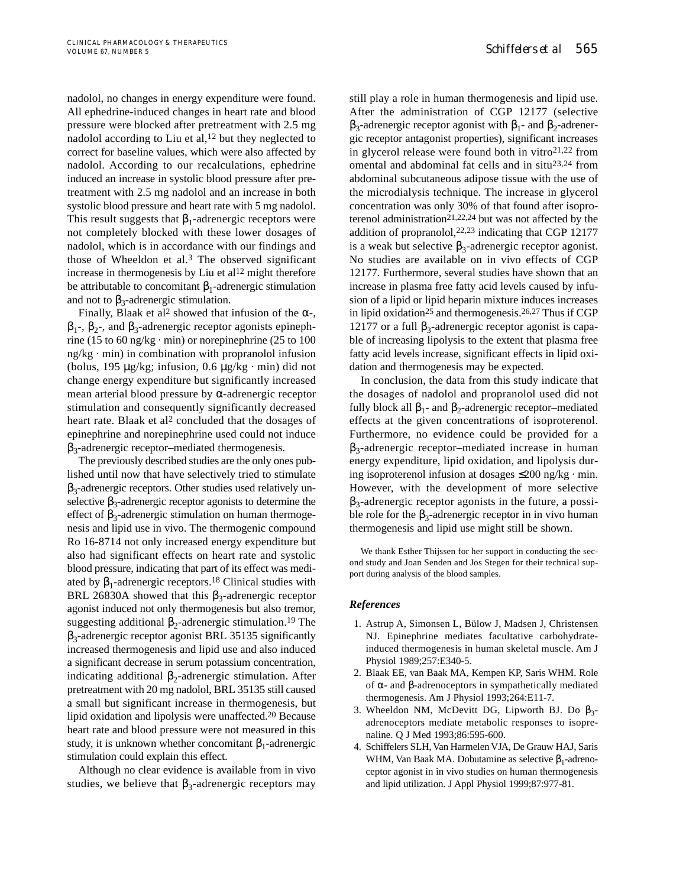nadolol, no changes in energy expenditure were found. All ephedrine-induced changes in heart rate and blood pressure were blocked after pretreatment with 2.5 mg nadolol according to Liu et al,  $12$  but they neglected to correct for baseline values, which were also affected by nadolol. According to our recalculations, ephedrine induced an increase in systolic blood pressure after pretreatment with 2.5 mg nadolol and an increase in both systolic blood pressure and heart rate with 5 mg nadolol. This result suggests that  $\beta_1$ -adrenergic receptors were not completely blocked with these lower dosages of nadolol, which is in accordance with our findings and those of Wheeldon et al. $3$  The observed significant increase in thermogenesis by Liu et  $al<sup>12</sup>$  might therefore be attributable to concomitant  $\beta_1$ -adrenergic stimulation and not to  $\beta_3$ -adrenergic stimulation.

Finally, Blaak et al<sup>2</sup> showed that infusion of the  $\alpha$ -,  $β<sub>1</sub>$ -,  $β<sub>2</sub>$ -, and  $β<sub>3</sub>$ -adrenergic receptor agonists epinephrine (15 to 60 ng/kg  $\cdot$  min) or norepinephrine (25 to 100  $ng/kg \cdot min$ ) in combination with propranolol infusion (bolus, 195  $\mu$ g/kg; infusion, 0.6  $\mu$ g/kg · min) did not change energy expenditure but significantly increased mean arterial blood pressure by α-adrenergic receptor stimulation and consequently significantly decreased heart rate. Blaak et al<sup>2</sup> concluded that the dosages of epinephrine and norepinephrine used could not induce  $β_3$ -adrenergic receptor–mediated thermogenesis.

The previously described studies are the only ones published until now that have selectively tried to stimulate  $\beta_3$ -adrenergic receptors. Other studies used relatively unselective  $\beta_3$ -adrenergic receptor agonists to determine the effect of  $\beta_3$ -adrenergic stimulation on human thermogenesis and lipid use in vivo. The thermogenic compound Ro 16-8714 not only increased energy expenditure but also had significant effects on heart rate and systolic blood pressure, indicating that part of its effect was mediated by  $\beta_1$ -adrenergic receptors.<sup>18</sup> Clinical studies with BRL 26830A showed that this  $β_3$ -adrenergic receptor agonist induced not only thermogenesis but also tremor, suggesting additional  $\beta_2$ -adrenergic stimulation.<sup>19</sup> The  $\beta_3$ -adrenergic receptor agonist BRL 35135 significantly increased thermogenesis and lipid use and also induced a significant decrease in serum potassium concentration, indicating additional  $\beta_2$ -adrenergic stimulation. After pretreatment with 20 mg nadolol, BRL 35135 still caused a small but significant increase in thermogenesis, but lipid oxidation and lipolysis were unaffected.20 Because heart rate and blood pressure were not measured in this study, it is unknown whether concomitant  $\beta_1$ -adrenergic stimulation could explain this effect.

Although no clear evidence is available from in vivo studies, we believe that  $\beta_3$ -adrenergic receptors may

still play a role in human thermogenesis and lipid use. After the administration of CGP 12177 (selective  $β_3$ -adrenergic receptor agonist with  $β_1$ - and  $β_2$ -adrenergic receptor antagonist properties), significant increases in glycerol release were found both in vitro $2^{1,22}$  from omental and abdominal fat cells and in situ23,24 from abdominal subcutaneous adipose tissue with the use of the microdialysis technique. The increase in glycerol concentration was only 30% of that found after isoproterenol administration<sup>21,22,24</sup> but was not affected by the addition of propranolol,  $22,23$  indicating that CGP 12177 is a weak but selective  $\beta_3$ -adrenergic receptor agonist. No studies are available on in vivo effects of CGP 12177. Furthermore, several studies have shown that an increase in plasma free fatty acid levels caused by infusion of a lipid or lipid heparin mixture induces increases in lipid oxidation<sup>25</sup> and thermogenesis.<sup>26,27</sup> Thus if CGP 12177 or a full  $β_3$ -adrenergic receptor agonist is capable of increasing lipolysis to the extent that plasma free fatty acid levels increase, significant effects in lipid oxidation and thermogenesis may be expected.

In conclusion, the data from this study indicate that the dosages of nadolol and propranolol used did not fully block all  $β_1$ - and  $β_2$ -adrenergic receptor–mediated effects at the given concentrations of isoproterenol. Furthermore, no evidence could be provided for a  $\beta_3$ -adrenergic receptor–mediated increase in human energy expenditure, lipid oxidation, and lipolysis during isoproterenol infusion at dosages ≤200 ng/kg · min. However, with the development of more selective  $\beta_3$ -adrenergic receptor agonists in the future, a possible role for the  $\beta_3$ -adrenergic receptor in in vivo human thermogenesis and lipid use might still be shown.

We thank Esther Thijssen for her support in conducting the second study and Joan Senden and Jos Stegen for their technical support during analysis of the blood samples.

## *References*

- 1. Astrup A, Simonsen L, Bülow J, Madsen J, Christensen NJ. Epinephrine mediates facultative carbohydrateinduced thermogenesis in human skeletal muscle. Am J Physiol 1989;257:E340-5.
- 2. Blaak EE, van Baak MA, Kempen KP, Saris WHM. Role of α- and β-adrenoceptors in sympathetically mediated thermogenesis. Am J Physiol 1993;264:E11-7.
- 3. Wheeldon NM, McDevitt DG, Lipworth BJ. Do  $\beta_3$ adrenoceptors mediate metabolic responses to isoprenaline. Q J Med 1993;86:595-600.
- 4. Schiffelers SLH, Van Harmelen VJA, De Grauw HAJ, Saris WHM, Van Baak MA. Dobutamine as selective  $\beta_1$ -adrenoceptor agonist in in vivo studies on human thermogenesis and lipid utilization. J Appl Physiol 1999;87:977-81.